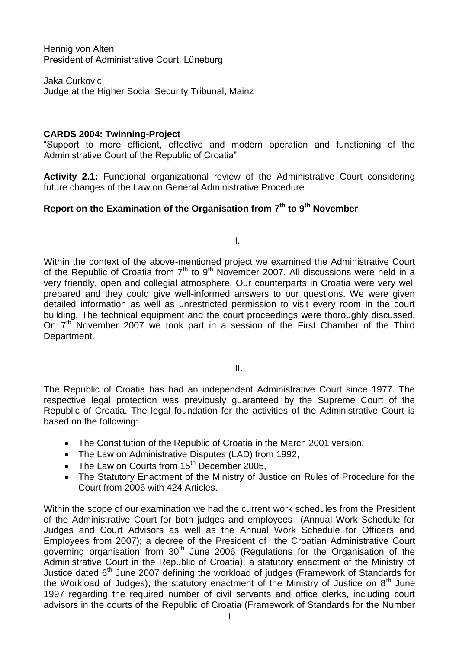Hennig von Alten President of Administrative Court, Lüneburg

Jaka Curkovic Judge at the Higher Social Security Tribunal, Mainz

# **CARDS 2004: Twinning-Project**

"Support to more efficient, effective and modern operation and functioning of the Administrative Court of the Republic of Croatia"

**Activity 2.1:** Functional organizational review of the Administrative Court considering future changes of the Law on General Administrative Procedure

# **Report on the Examination of the Organisation from 7th to 9th November**

I.

Within the context of the above-mentioned project we examined the Administrative Court of the Republic of Croatia from 7<sup>th</sup> to 9<sup>th</sup> November 2007. All discussions were held in a very friendly, open and collegial atmosphere. Our counterparts in Croatia were very well prepared and they could give well-informed answers to our questions. We were given detailed information as well as unrestricted permission to visit every room in the court building. The technical equipment and the court proceedings were thoroughly discussed. On  $7<sup>th</sup>$  November 2007 we took part in a session of the First Chamber of the Third Department.

II.

The Republic of Croatia has had an independent Administrative Court since 1977. The respective legal protection was previously guaranteed by the Supreme Court of the Republic of Croatia. The legal foundation for the activities of the Administrative Court is based on the following:

- The Constitution of the Republic of Croatia in the March 2001 version,
- The Law on Administrative Disputes (LAD) from 1992,
- The Law on Courts from  $15<sup>th</sup>$  December 2005,
- The Statutory Enactment of the Ministry of Justice on Rules of Procedure for the Court from 2006 with 424 Articles.

Within the scope of our examination we had the current work schedules from the President of the Administrative Court for both judges and employees (Annual Work Schedule for Judges and Court Advisors as well as the Annual Work Schedule for Officers and Employees from 2007); a decree of the President of the Croatian Administrative Court governing organisation from  $30<sup>th</sup>$  June 2006 (Regulations for the Organisation of the Administrative Court in the Republic of Croatia); a statutory enactment of the Ministry of Justice dated 6<sup>th</sup> June 2007 defining the workload of judges (Framework of Standards for the Workload of Judges); the statutory enactment of the Ministry of Justice on  $8<sup>th</sup>$  June 1997 regarding the required number of civil servants and office clerks, including court advisors in the courts of the Republic of Croatia (Framework of Standards for the Number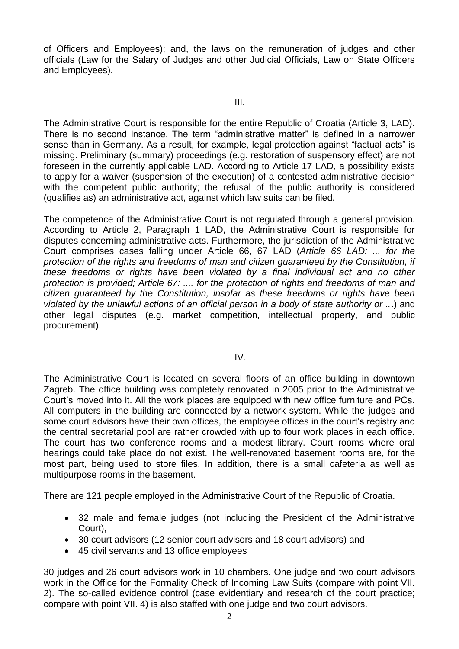of Officers and Employees); and, the laws on the remuneration of judges and other officials (Law for the Salary of Judges and other Judicial Officials, Law on State Officers and Employees).

#### III.

The Administrative Court is responsible for the entire Republic of Croatia (Article 3, LAD). There is no second instance. The term "administrative matter" is defined in a narrower sense than in Germany. As a result, for example, legal protection against "factual acts" is missing. Preliminary (summary) proceedings (e.g. restoration of suspensory effect) are not foreseen in the currently applicable LAD. According to Article 17 LAD, a possibility exists to apply for a waiver (suspension of the execution) of a contested administrative decision with the competent public authority; the refusal of the public authority is considered (qualifies as) an administrative act, against which law suits can be filed.

The competence of the Administrative Court is not regulated through a general provision. According to Article 2, Paragraph 1 LAD, the Administrative Court is responsible for disputes concerning administrative acts. Furthermore, the jurisdiction of the Administrative Court comprises cases falling under Article 66, 67 LAD (*Article 66 LAD: ... for the protection of the rights and freedoms of man and citizen guaranteed by the Constitution, if these freedoms or rights have been violated by a final individual act and no other protection is provided; Article 67: .... for the protection of rights and freedoms of man and citizen guaranteed by the Constitution, insofar as these freedoms or rights have been violated by the unlawful actions of an official person in a body of state authority or ..*.) and other legal disputes (e.g. market competition, intellectual property, and public procurement).

## IV.

The Administrative Court is located on several floors of an office building in downtown Zagreb. The office building was completely renovated in 2005 prior to the Administrative Court's moved into it. All the work places are equipped with new office furniture and PCs. All computers in the building are connected by a network system. While the judges and some court advisors have their own offices, the employee offices in the court's registry and the central secretarial pool are rather crowded with up to four work places in each office. The court has two conference rooms and a modest library. Court rooms where oral hearings could take place do not exist. The well-renovated basement rooms are, for the most part, being used to store files. In addition, there is a small cafeteria as well as multipurpose rooms in the basement.

There are 121 people employed in the Administrative Court of the Republic of Croatia.

- 32 male and female judges (not including the President of the Administrative Court),
- 30 court advisors (12 senior court advisors and 18 court advisors) and
- 45 civil servants and 13 office employees

30 judges and 26 court advisors work in 10 chambers. One judge and two court advisors work in the Office for the Formality Check of Incoming Law Suits (compare with point VII. 2). The so-called evidence control (case evidentiary and research of the court practice; compare with point VII. 4) is also staffed with one judge and two court advisors.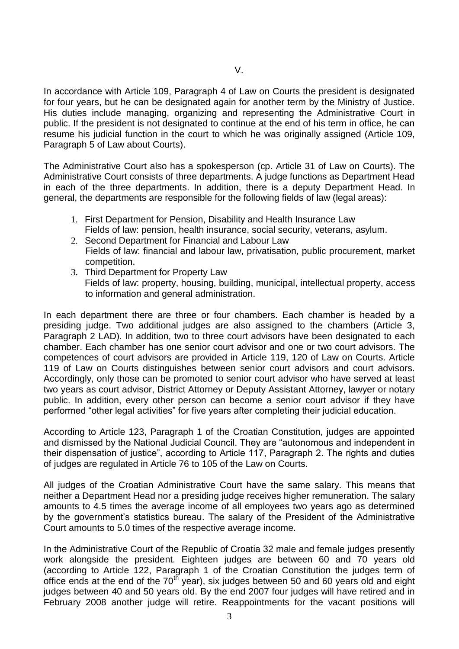In accordance with Article 109, Paragraph 4 of Law on Courts the president is designated for four years, but he can be designated again for another term by the Ministry of Justice. His duties include managing, organizing and representing the Administrative Court in public. If the president is not designated to continue at the end of his term in office, he can resume his judicial function in the court to which he was originally assigned (Article 109, Paragraph 5 of Law about Courts).

The Administrative Court also has a spokesperson (cp. Article 31 of Law on Courts). The Administrative Court consists of three departments. A judge functions as Department Head in each of the three departments. In addition, there is a deputy Department Head. In general, the departments are responsible for the following fields of law (legal areas):

- 1. First Department for Pension, Disability and Health Insurance Law Fields of law: pension, health insurance, social security, veterans, asylum.
- 2. Second Department for Financial and Labour Law Fields of law: financial and labour law, privatisation, public procurement, market competition.
- 3. Third Department for Property Law Fields of law: property, housing, building, municipal, intellectual property, access to information and general administration.

In each department there are three or four chambers. Each chamber is headed by a presiding judge. Two additional judges are also assigned to the chambers (Article 3, Paragraph 2 LAD). In addition, two to three court advisors have been designated to each chamber. Each chamber has one senior court advisor and one or two court advisors. The competences of court advisors are provided in Article 119, 120 of Law on Courts. Article 119 of Law on Courts distinguishes between senior court advisors and court advisors. Accordingly, only those can be promoted to senior court advisor who have served at least two years as court advisor, District Attorney or Deputy Assistant Attorney, lawyer or notary public. In addition, every other person can become a senior court advisor if they have performed "other legal activities" for five years after completing their judicial education.

According to Article 123, Paragraph 1 of the Croatian Constitution, judges are appointed and dismissed by the National Judicial Council. They are "autonomous and independent in their dispensation of justice", according to Article 117, Paragraph 2. The rights and duties of judges are regulated in Article 76 to 105 of the Law on Courts.

All judges of the Croatian Administrative Court have the same salary. This means that neither a Department Head nor a presiding judge receives higher remuneration. The salary amounts to 4.5 times the average income of all employees two years ago as determined by the government's statistics bureau. The salary of the President of the Administrative Court amounts to 5.0 times of the respective average income.

In the Administrative Court of the Republic of Croatia 32 male and female judges presently work alongside the president. Eighteen judges are between 60 and 70 years old (according to Article 122, Paragraph 1 of the Croatian Constitution the judges term of office ends at the end of the  $70<sup>th</sup>$  year), six judges between 50 and 60 years old and eight judges between 40 and 50 years old. By the end 2007 four judges will have retired and in February 2008 another judge will retire. Reappointments for the vacant positions will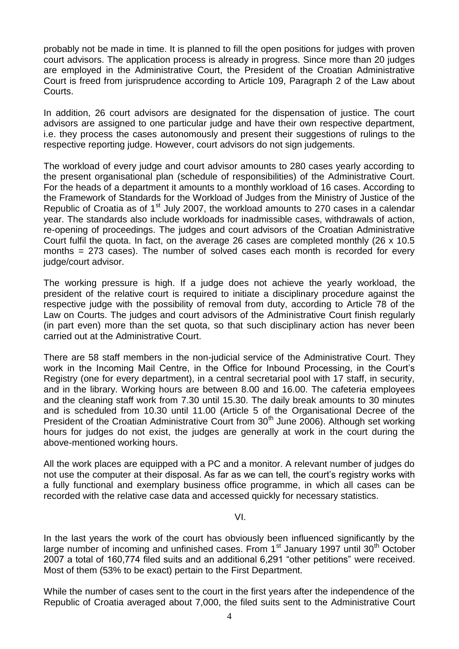probably not be made in time. It is planned to fill the open positions for judges with proven court advisors. The application process is already in progress. Since more than 20 judges are employed in the Administrative Court, the President of the Croatian Administrative Court is freed from jurisprudence according to Article 109, Paragraph 2 of the Law about Courts.

In addition, 26 court advisors are designated for the dispensation of justice. The court advisors are assigned to one particular judge and have their own respective department, i.e. they process the cases autonomously and present their suggestions of rulings to the respective reporting judge. However, court advisors do not sign judgements.

The workload of every judge and court advisor amounts to 280 cases yearly according to the present organisational plan (schedule of responsibilities) of the Administrative Court. For the heads of a department it amounts to a monthly workload of 16 cases. According to the Framework of Standards for the Workload of Judges from the Ministry of Justice of the Republic of Croatia as of 1<sup>st</sup> July 2007, the workload amounts to 270 cases in a calendar year. The standards also include workloads for inadmissible cases, withdrawals of action, re-opening of proceedings. The judges and court advisors of the Croatian Administrative Court fulfil the quota. In fact, on the average 26 cases are completed monthly (26 x 10.5 months = 273 cases). The number of solved cases each month is recorded for every iudge/court advisor.

The working pressure is high. If a judge does not achieve the yearly workload, the president of the relative court is required to initiate a disciplinary procedure against the respective judge with the possibility of removal from duty, according to Article 78 of the Law on Courts. The judges and court advisors of the Administrative Court finish regularly (in part even) more than the set quota, so that such disciplinary action has never been carried out at the Administrative Court.

There are 58 staff members in the non-judicial service of the Administrative Court. They work in the Incoming Mail Centre, in the Office for Inbound Processing, in the Court's Registry (one for every department), in a central secretarial pool with 17 staff, in security, and in the library. Working hours are between 8.00 and 16.00. The cafeteria employees and the cleaning staff work from 7.30 until 15.30. The daily break amounts to 30 minutes and is scheduled from 10.30 until 11.00 (Article 5 of the Organisational Decree of the President of the Croatian Administrative Court from 30<sup>th</sup> June 2006). Although set working hours for judges do not exist, the judges are generally at work in the court during the above-mentioned working hours.

All the work places are equipped with a PC and a monitor. A relevant number of judges do not use the computer at their disposal. As far as we can tell, the court's registry works with a fully functional and exemplary business office programme, in which all cases can be recorded with the relative case data and accessed quickly for necessary statistics.

#### VI.

In the last years the work of the court has obviously been influenced significantly by the large number of incoming and unfinished cases. From 1<sup>st</sup> January 1997 until 30<sup>th</sup> October 2007 a total of 160,774 filed suits and an additional 6,291 "other petitions" were received. Most of them (53% to be exact) pertain to the First Department.

While the number of cases sent to the court in the first years after the independence of the Republic of Croatia averaged about 7,000, the filed suits sent to the Administrative Court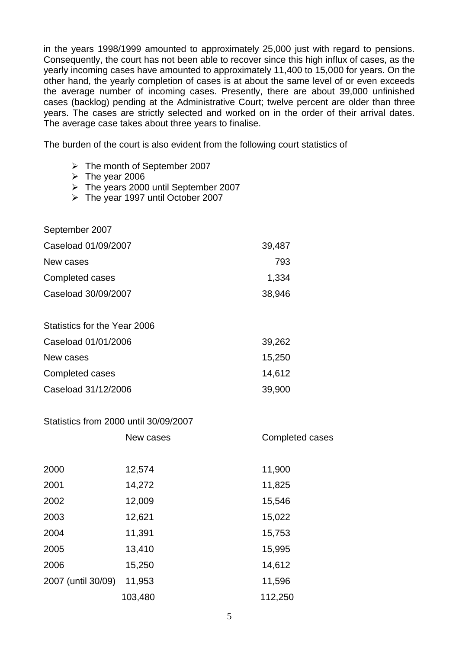in the years 1998/1999 amounted to approximately 25,000 just with regard to pensions. Consequently, the court has not been able to recover since this high influx of cases, as the yearly incoming cases have amounted to approximately 11,400 to 15,000 for years. On the other hand, the yearly completion of cases is at about the same level of or even exceeds the average number of incoming cases. Presently, there are about 39,000 unfinished cases (backlog) pending at the Administrative Court; twelve percent are older than three years. The cases are strictly selected and worked on in the order of their arrival dates. The average case takes about three years to finalise.

The burden of the court is also evident from the following court statistics of

- The month of September 2007
- $\triangleright$  The year 2006
- The years 2000 until September 2007
- $\triangleright$  The year 1997 until October 2007

| September 2007               |        |
|------------------------------|--------|
| Caseload 01/09/2007          | 39,487 |
| New cases                    | 793    |
| Completed cases              | 1,334  |
| Caseload 30/09/2007          | 38,946 |
|                              |        |
| Statistics for the Year 2006 |        |
| Caseload 01/01/2006          | 39,262 |
| New cases                    | 15,250 |
| Completed cases              | 14,612 |
| Caseload 31/12/2006          | 39,900 |

## Statistics from 2000 until 30/09/2007

|                    | New cases | Completed cases |
|--------------------|-----------|-----------------|
|                    |           |                 |
| 2000               | 12,574    | 11,900          |
| 2001               | 14,272    | 11,825          |
| 2002               | 12,009    | 15,546          |
| 2003               | 12,621    | 15,022          |
| 2004               | 11,391    | 15,753          |
| 2005               | 13,410    | 15,995          |
| 2006               | 15,250    | 14,612          |
| 2007 (until 30/09) | 11,953    | 11,596          |
|                    | 103,480   | 112,250         |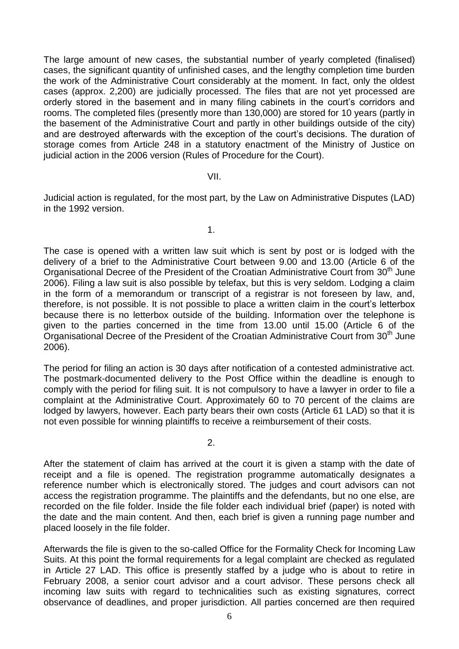The large amount of new cases, the substantial number of yearly completed (finalised) cases, the significant quantity of unfinished cases, and the lengthy completion time burden the work of the Administrative Court considerably at the moment. In fact, only the oldest cases (approx. 2,200) are judicially processed. The files that are not yet processed are orderly stored in the basement and in many filing cabinets in the court's corridors and rooms. The completed files (presently more than 130,000) are stored for 10 years (partly in the basement of the Administrative Court and partly in other buildings outside of the city) and are destroyed afterwards with the exception of the court's decisions. The duration of storage comes from Article 248 in a statutory enactment of the Ministry of Justice on judicial action in the 2006 version (Rules of Procedure for the Court).

#### VII.

Judicial action is regulated, for the most part, by the Law on Administrative Disputes (LAD) in the 1992 version.

1.

The case is opened with a written law suit which is sent by post or is lodged with the delivery of a brief to the Administrative Court between 9.00 and 13.00 (Article 6 of the Organisational Decree of the President of the Croatian Administrative Court from 30<sup>th</sup> June 2006). Filing a law suit is also possible by telefax, but this is very seldom. Lodging a claim in the form of a memorandum or transcript of a registrar is not foreseen by law, and, therefore, is not possible. It is not possible to place a written claim in the court's letterbox because there is no letterbox outside of the building. Information over the telephone is given to the parties concerned in the time from 13.00 until 15.00 (Article 6 of the Organisational Decree of the President of the Croatian Administrative Court from 30<sup>th</sup> June 2006).

The period for filing an action is 30 days after notification of a contested administrative act. The postmark-documented delivery to the Post Office within the deadline is enough to comply with the period for filing suit. It is not compulsory to have a lawyer in order to file a complaint at the Administrative Court. Approximately 60 to 70 percent of the claims are lodged by lawyers, however. Each party bears their own costs (Article 61 LAD) so that it is not even possible for winning plaintiffs to receive a reimbursement of their costs.

 $\mathcal{P}$ 

After the statement of claim has arrived at the court it is given a stamp with the date of receipt and a file is opened. The registration programme automatically designates a reference number which is electronically stored. The judges and court advisors can not access the registration programme. The plaintiffs and the defendants, but no one else, are recorded on the file folder. Inside the file folder each individual brief (paper) is noted with the date and the main content. And then, each brief is given a running page number and placed loosely in the file folder.

Afterwards the file is given to the so-called Office for the Formality Check for Incoming Law Suits. At this point the formal requirements for a legal complaint are checked as regulated in Article 27 LAD. This office is presently staffed by a judge who is about to retire in February 2008, a senior court advisor and a court advisor. These persons check all incoming law suits with regard to technicalities such as existing signatures, correct observance of deadlines, and proper jurisdiction. All parties concerned are then required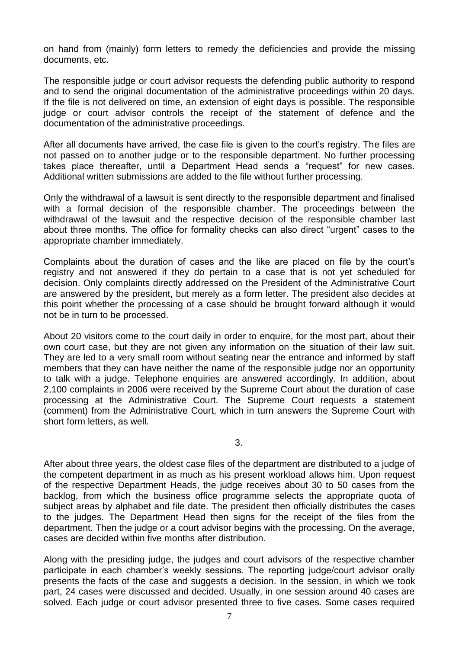on hand from (mainly) form letters to remedy the deficiencies and provide the missing documents, etc.

The responsible judge or court advisor requests the defending public authority to respond and to send the original documentation of the administrative proceedings within 20 days. If the file is not delivered on time, an extension of eight days is possible. The responsible judge or court advisor controls the receipt of the statement of defence and the documentation of the administrative proceedings.

After all documents have arrived, the case file is given to the court's registry. The files are not passed on to another judge or to the responsible department. No further processing takes place thereafter, until a Department Head sends a "request" for new cases. Additional written submissions are added to the file without further processing.

Only the withdrawal of a lawsuit is sent directly to the responsible department and finalised with a formal decision of the responsible chamber. The proceedings between the withdrawal of the lawsuit and the respective decision of the responsible chamber last about three months. The office for formality checks can also direct "urgent" cases to the appropriate chamber immediately.

Complaints about the duration of cases and the like are placed on file by the court's registry and not answered if they do pertain to a case that is not yet scheduled for decision. Only complaints directly addressed on the President of the Administrative Court are answered by the president, but merely as a form letter. The president also decides at this point whether the processing of a case should be brought forward although it would not be in turn to be processed.

About 20 visitors come to the court daily in order to enquire, for the most part, about their own court case, but they are not given any information on the situation of their law suit. They are led to a very small room without seating near the entrance and informed by staff members that they can have neither the name of the responsible judge nor an opportunity to talk with a judge. Telephone enquiries are answered accordingly. In addition, about 2,100 complaints in 2006 were received by the Supreme Court about the duration of case processing at the Administrative Court. The Supreme Court requests a statement (comment) from the Administrative Court, which in turn answers the Supreme Court with short form letters, as well.

3.

After about three years, the oldest case files of the department are distributed to a judge of the competent department in as much as his present workload allows him. Upon request of the respective Department Heads, the judge receives about 30 to 50 cases from the backlog, from which the business office programme selects the appropriate quota of subject areas by alphabet and file date. The president then officially distributes the cases to the judges. The Department Head then signs for the receipt of the files from the department. Then the judge or a court advisor begins with the processing. On the average, cases are decided within five months after distribution.

Along with the presiding judge, the judges and court advisors of the respective chamber participate in each chamber's weekly sessions. The reporting judge/court advisor orally presents the facts of the case and suggests a decision. In the session, in which we took part, 24 cases were discussed and decided. Usually, in one session around 40 cases are solved. Each judge or court advisor presented three to five cases. Some cases required